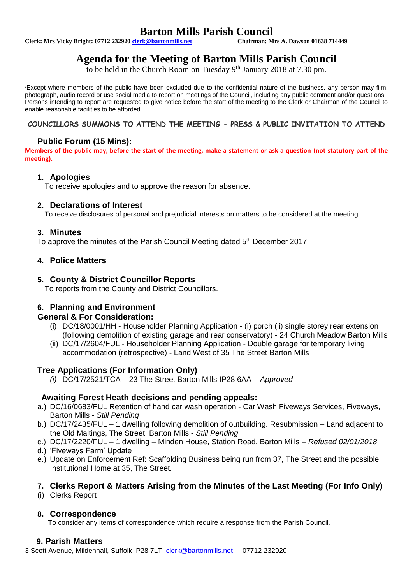# **Barton Mills Parish Council**<br>Chairman: Mrs A. Dawson 01638 714449

**Clerk: Mrs Vicky Bright: 07712 232920 clerk@bartonmills.net** 

# **Agenda for the Meeting of Barton Mills Parish Council**

to be held in the Church Room on Tuesday 9<sup>th</sup> January 2018 at 7.30 pm.

\*Except where members of the public have been excluded due to the confidential nature of the business, any person may film, photograph, audio record or use social media to report on meetings of the Council, including any public comment and/or questions. Persons intending to report are requested to give notice before the start of the meeting to the Clerk or Chairman of the Council to enable reasonable facilities to be afforded.

### **COUNCILLORS SUMMONS TO ATTEND THE MEETING - PRESS & PUBLIC INVITATION TO ATTEND**

# **Public Forum (15 Mins):**

**Members of the public may, before the start of the meeting, make a statement or ask a question (not statutory part of the meeting).**

### **1. Apologies**

To receive apologies and to approve the reason for absence.

### **2. Declarations of Interest**

To receive disclosures of personal and prejudicial interests on matters to be considered at the meeting.

### **3. Minutes**

To approve the minutes of the Parish Council Meeting dated 5<sup>th</sup> December 2017.

# **4. Police Matters**

### **5. County & District Councillor Reports**

To reports from the County and District Councillors.

# **6. Planning and Environment**

#### **General & For Consideration:**

- (i) DC/18/0001/HH Householder Planning Application (i) porch (ii) single storey rear extension (following demolition of existing garage and rear conservatory) - 24 Church Meadow Barton Mills
- (ii) DC/17/2604/FUL Householder Planning Application Double garage for temporary living accommodation (retrospective) - Land West of 35 The Street Barton Mills

# **Tree Applications (For Information Only)**

*(i)* DC/17/2521/TCA – 23 The Street Barton Mills IP28 6AA – *Approved*

# **Awaiting Forest Heath decisions and pending appeals:**

- a.) DC/16/0683/FUL Retention of hand car wash operation Car Wash Fiveways Services, Fiveways, Barton Mills - *Still Pending*
- b.) DC/17/2435/FUL 1 dwelling following demolition of outbuilding. Resubmission Land adjacent to the Old Maltings, The Street, Barton Mills - *Still Pending*
- c.) DC/17/2220/FUL 1 dwelling Minden House, Station Road, Barton Mills *Refused 02/01/2018*
- d.) 'Fiveways Farm' Update
- e.) Update on Enforcement Ref: Scaffolding Business being run from 37, The Street and the possible Institutional Home at 35, The Street.

# **7. Clerks Report & Matters Arising from the Minutes of the Last Meeting (For Info Only)**

(i) Clerks Report

# **8. Correspondence**

To consider any items of correspondence which require a response from the Parish Council.

# **9. Parish Matters**

3 Scott Avenue, Mildenhall, Suffolk IP28 7LT [clerk@bartonmills.net](mailto:clerk@bartonmills.net) 07712 232920